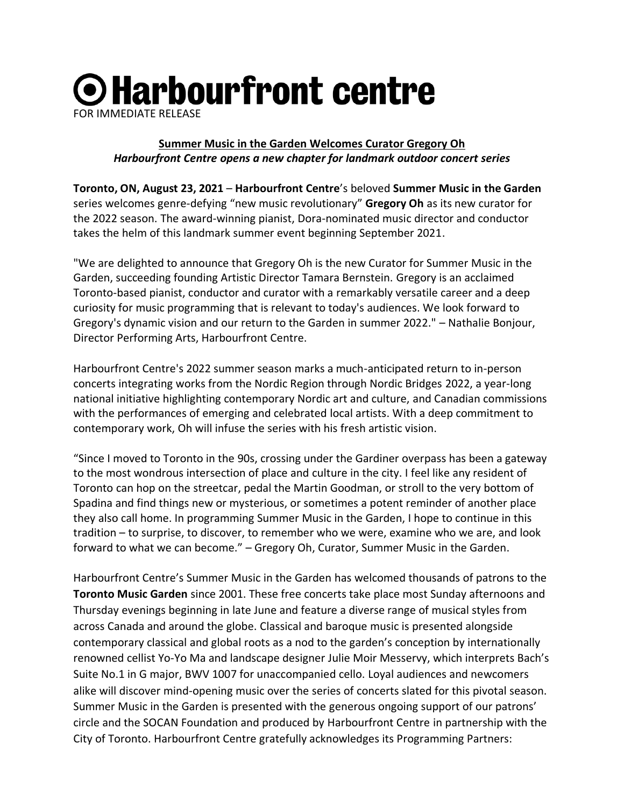## O Harbourfront centre FOR IMMEDIATE RELEASE

## **Summer Music in the Garden Welcomes Curator Gregory Oh** *Harbourfront Centre opens a new chapter for landmark outdoor concert series*

**Toronto, ON, August 23, 2021** – **Harbourfront Centre**'s beloved **Summer Music in the Garden** series welcomes genre-defying "new music revolutionary" **Gregory Oh** as its new curator for the 2022 season. The award-winning pianist, Dora-nominated music director and conductor takes the helm of this landmark summer event beginning September 2021.

"We are delighted to announce that Gregory Oh is the new Curator for Summer Music in the Garden, succeeding founding Artistic Director Tamara Bernstein. Gregory is an acclaimed Toronto-based pianist, conductor and curator with a remarkably versatile career and a deep curiosity for music programming that is relevant to today's audiences. We look forward to Gregory's dynamic vision and our return to the Garden in summer 2022." – Nathalie Bonjour, Director Performing Arts, Harbourfront Centre.

Harbourfront Centre's 2022 summer season marks a much-anticipated return to in-person concerts integrating works from the Nordic Region through Nordic Bridges 2022, a year-long national initiative highlighting contemporary Nordic art and culture, and Canadian commissions with the performances of emerging and celebrated local artists. With a deep commitment to contemporary work, Oh will infuse the series with his fresh artistic vision.

"Since I moved to Toronto in the 90s, crossing under the Gardiner overpass has been a gateway to the most wondrous intersection of place and culture in the city. I feel like any resident of Toronto can hop on the streetcar, pedal the Martin Goodman, or stroll to the very bottom of Spadina and find things new or mysterious, or sometimes a potent reminder of another place they also call home. In programming Summer Music in the Garden, I hope to continue in this tradition – to surprise, to discover, to remember who we were, examine who we are, and look forward to what we can become." – Gregory Oh, Curator, Summer Music in the Garden.

Harbourfront Centre's Summer Music in the Garden has welcomed thousands of patrons to the **Toronto Music Garden** since 2001. These free concerts take place most Sunday afternoons and Thursday evenings beginning in late June and feature a diverse range of musical styles from across Canada and around the globe. Classical and baroque music is presented alongside contemporary classical and global roots as a nod to the garden's conception by internationally renowned cellist Yo-Yo Ma and landscape designer Julie Moir Messervy, which interprets Bach's Suite No.1 in G major, BWV 1007 for unaccompanied cello. Loyal audiences and newcomers alike will discover mind-opening music over the series of concerts slated for this pivotal season. Summer Music in the Garden is presented with the generous ongoing support of our patrons' circle and the SOCAN Foundation and produced by Harbourfront Centre in partnership with the City of Toronto. Harbourfront Centre gratefully acknowledges its Programming Partners: